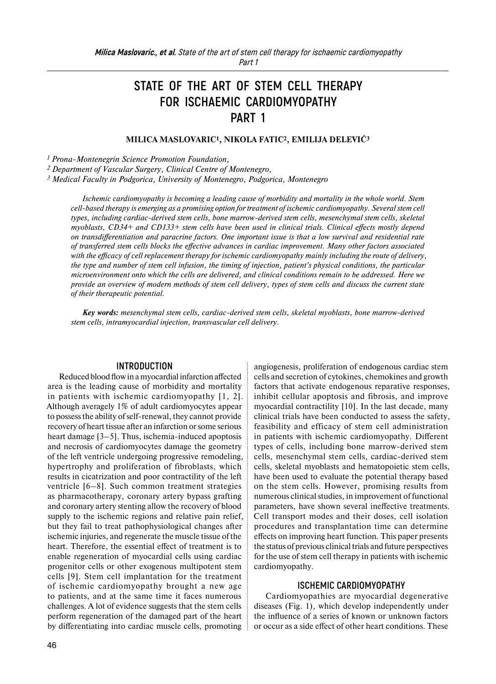# **STATE OF THE ART OF STEM CELL THERAPY FOR ISCHAEMIC CARDIOMYOPATHY PART 1**

**MILICA MASLOVARIC1, NIKOLA FATIC2, EMILIJA DELEVIĆ3**

*<sup>1</sup> Prona-Montenegrin Science Promotion Foundation,* 

*<sup>2</sup> Department of Vascular Surgery, Clinical Centre of Montenegro,*

*<sup>3</sup> Medical Faculty in Podgorica, University of Montenegro, Podgorica, Montenegro* 

*Ischemic cardiomyopathy is becoming a leading cause of morbidity and mortality in the whole world. Stem cell-based therapy is emerging as a promising option for treatment of ischemic cardiomyopathy. Several stem cell types, including cardiac-derived stem cells, bone marrow-derived stem cells, mesenchymal stem cells, skeletal myoblasts, CD34+ and CD133+ stem cells have been used in clinical trials. Clinical effects mostly depend on transdifferentiation and paracrine factors. One important issue is that a low survival and residential rate of transferred stem cells blocks the effective advances in cardiac improvement. Many other factors associated with the efficacy of cell replacement therapy for ischemic cardiomyopathy mainly including the route of delivery, the type and number of stem cell infusion, the timing of injection, patient's physical conditions, the particular microenvironment onto which the cells are delivered, and clinical conditions remain to be addressed. Here we provide an overview of modern methods of stem cell delivery, types of stem cells and discuss the current state of their therapeutic potential.* 

*Key words: mesenchymal stem cells, cardiac-derived stem cells, skeletal myoblasts, bone marrow-derived stem cells, intramyocardial injection, transvascular cell delivery.* 

#### **INTRODUCTION**

Reduced blood flow in a myocardial infarction affected area is the leading cause of morbidity and mortality in patients with ischemic cardiomyopathy [1, 2]. Although averagely 1% of adult cardiomyocytes appear to possess the ability ofself-renewal, they cannot provide recovery of heart tissue after an infarction or some serious heart damage [3–5]. Thus, ischemia-induced apoptosis and necrosis of cardiomyocytes damage the geometry of the left ventricle undergoing progressive remodeling, hypertrophy and proliferation of fibroblasts, which results in cicatrization and poor contractility of the left ventricle [6–8]. Such common treatment strategies as pharmacotherapy, coronary artery bypass grafting and coronary artery stenting allow the recovery of blood supply to the ischemic regions and relative pain relief, but they fail to treat pathophysiological changes after ischemic injuries, and regenerate the muscle tissue of the heart. Therefore, the essential effect of treatment is to enable regeneration of myocardial cells using cardiac progenitor cells or other exogenous multipotent stem cells [9]. Stem cell implantation for the treatment of ischemic cardiomyopathy brought a new age to patients, and at the same time it faces numerous challenges. A lot of evidence suggests that the stem cells perform regeneration of the damaged part of the heart by differentiating into cardiac muscle cells, promoting

angiogenesis, proliferation of endogenous cardiac stem cells and secretion of cytokines, chemokines and growth factors that activate endogenous reparative responses, inhibit cellular apoptosis and fibrosis, and improve myocardial contractility [10]. In the last decade, many clinical trials have been conducted to assess the safety, feasibility and efficacy of stem cell administration in patients with ischemic cardiomyopathy. Different types of cells, including bone marrow-derived stem cells, mesenchymal stem cells, cardiac-derived stem cells, skeletal myoblasts and hematopoietic stem cells, have been used to evaluate the potential therapy based on the stem cells. However, promising results from numerous clinical studies, in improvement of functional parameters, have shown several ineffective treatments. Cell transport modes and their doses, cell isolation procedures and transplantation time can determine effects on improving heart function. This paper presents the status of previous clinical trials and future perspectives for the use of stem cell therapy in patients with ischemic cardiomyopathy.

#### **ISCHEMIC CARDIOMYOPATHY**

Cardiomyopathies are myocardial degenerative diseases (Fig. 1), which develop independently under the influence of a series of known or unknown factors or occur as a side effect of other heart conditions. These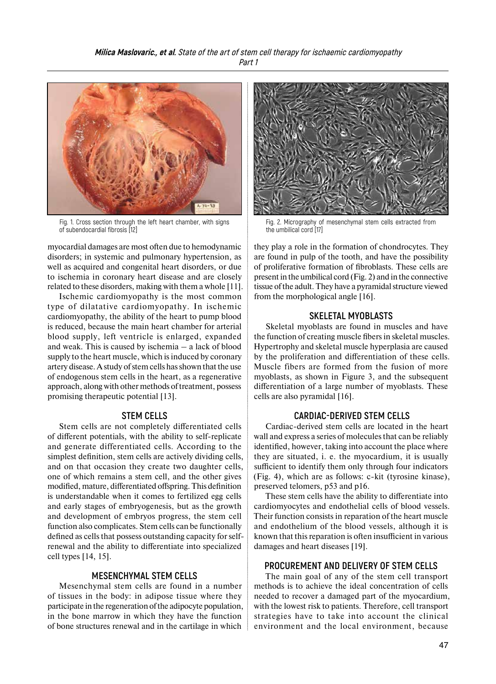

Fig. 1. Cross section through the left heart chamber, with signs of subendocardial fibrosis [12]

myocardial damages are most often due to hemodynamic disorders; in systemic and pulmonary hypertension, as well as acquired and congenital heart disorders, or due to ischemia in coronary heart disease and are closely related to these disorders, making with them a whole [11].

Ischemic cardiomyopathy is the most common type of dilatative cardiomyopathy. In ischemic cardiomyopathy, the ability of the heart to pump blood is reduced, because the main heart chamber for arterial blood supply, left ventricle is enlarged, expanded and weak. This is caused by ischemia – a lack of blood supply to the heart muscle, which is induced by coronary artery disease. A study of stem cells has shown that the use of endogenous stem cells in the heart, as a regenerative approach, along with other methods of treatment, possess promising therapeutic potential [13].

# **STEM CELLS**

Stem cells are not completely differentiated cells of different potentials, with the ability to self-replicate and generate differentiated cells. According to the simplest definition, stem cells are actively dividing cells, and on that occasion they create two daughter cells, one of which remains a stem cell, and the other gives modified, mature, differentiated offspring. This definition is understandable when it comes to fertilized egg cells and early stages of embryogenesis, but as the growth and development of embryos progress, the stem cell function also complicates. Stem cells can be functionally defined as cells that possess outstanding capacity for selfrenewal and the ability to differentiate into specialized cell types [14, 15].

## **MESENCHYMAL STEM CELLS**

Mesenchymal stem cells are found in a number of tissues in the body: in adipose tissue where they participate in the regeneration of the adipocyte population, in the bone marrow in which they have the function of bone structures renewal and in the cartilage in which



Fig. 2. Micrography of mesenchymal stem cells extracted from the umbilical cord [17]

they play a role in the formation of chondrocytes. They are found in pulp of the tooth, and have the possibility of proliferative formation of fibroblasts. These cells are present in the umbilical cord (Fig. 2) and in the connective tissue of the adult. They have a pyramidal structure viewed from the morphological angle [16].

## **SKELETAL MYOBLASTS**

Skeletal myoblasts are found in muscles and have the function of creating muscle fibers in skeletal muscles. Hypertrophy and skeletal muscle hyperplasia are caused by the proliferation and differentiation of these cells. Muscle fibers are formed from the fusion of more myoblasts, as shown in Figure 3, and the subsequent differentiation of a large number of myoblasts. These cells are also pyramidal [16].

# **CARDIAC-DERIVED STEM CELLS**

Cardiac-derived stem cells are located in the heart wall and express a series of molecules that can be reliably identified, however, taking into account the place where they are situated, i. e. the myocardium, it is usually sufficient to identify them only through four indicators (Fig. 4), which are as follows: c-kit (tyrosine kinase), preserved telomers, p53 and p16.

These stem cells have the ability to differentiate into cardiomyocytes and endothelial cells of blood vessels. Their function consists in reparation of the heart muscle and endothelium of the blood vessels, although it is known that this reparation is often insufficient in various damages and heart diseases [19].

# **PROCUREMENT AND DELIVERY OF STEM CELLS**

The main goal of any of the stem cell transport methods is to achieve the ideal concentration of cells needed to recover a damaged part of the myocardium, with the lowest risk to patients. Therefore, cell transport strategies have to take into account the clinical environment and the local environment, because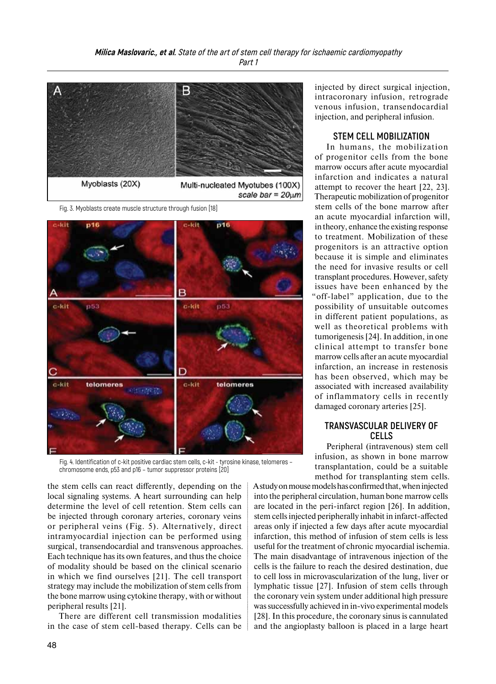

Fig. 3. Myoblasts create muscle structure through fusion [18]



Fig. 4. Identification of c-kit positive cardiac stem cells, c-kit - tyrosine kinase, telomeres – chromosome ends, p53 and p16 – tumor suppressor proteins [20]

the stem cells can react differently, depending on the local signaling systems. A heart surrounding can help determine the level of cell retention. Stem cells can be injected through coronary arteries, coronary veins or peripheral veins (Fig. 5). Alternatively, direct intramyocardial injection can be performed using surgical, transendocardial and transvenous approaches. Each technique has its own features, and thus the choice of modality should be based on the clinical scenario in which we find ourselves [21]. The cell transport strategy may include the mobilization of stem cells from the bone marrow using cytokine therapy, with or without peripheral results [21].

There are different cell transmission modalities in the case of stem cell-based therapy. Cells can be injected by direct surgical injection, intracoronary infusion, retrograde venous infusion, transendocardial injection, and peripheral infusion.

#### **STEM CELL MOBILIZATION**

In humans, the mobilization of progenitor cells from the bone marrow occurs after acute myocardial infarction and indicates a natural attempt to recover the heart [22, 23]. Therapeutic mobilization of progenitor stem cells of the bone marrow after an acute myocardial infarction will, in theory, enhance the existing response to treatment. Mobilization of these progenitors is an attractive option because it is simple and eliminates the need for invasive results or cell transplant procedures. However, safety issues have been enhanced by the "off-label" application, due to the possibility of unsuitable outcomes in different patient populations, as well as theoretical problems with tumorigenesis [24]. In addition, in one clinical attempt to transfer bone marrow cells after an acute myocardial infarction, an increase in restenosis has been observed, which may be associated with increased availability of inflammatory cells in recently damaged coronary arteries [25].

# **TRANSVASCULAR DELIVERY OF CELLS**

Peripheral (intravenous) stem cell infusion, as shown in bone marrow transplantation, could be a suitable method for transplanting stem cells.

Astudy onmouse models has confirmed that, when injected into the peripheral circulation, human bone marrow cells are located in the peri-infarct region [26]. In addition, stem cells injected peripherally inhabit in infarct-affected areas only if injected a few days after acute myocardial infarction, this method of infusion of stem cells is less useful for the treatment of chronic myocardial ischemia. The main disadvantage of intravenous injection of the cells is the failure to reach the desired destination, due to cell loss in microvascularization of the lung, liver or lymphatic tissue [27]. Infusion of stem cells through the coronary vein system under additional high pressure was successfully achieved in in-vivo experimental models [28]. In this procedure, the coronary sinus is cannulated and the angioplasty balloon is placed in a large heart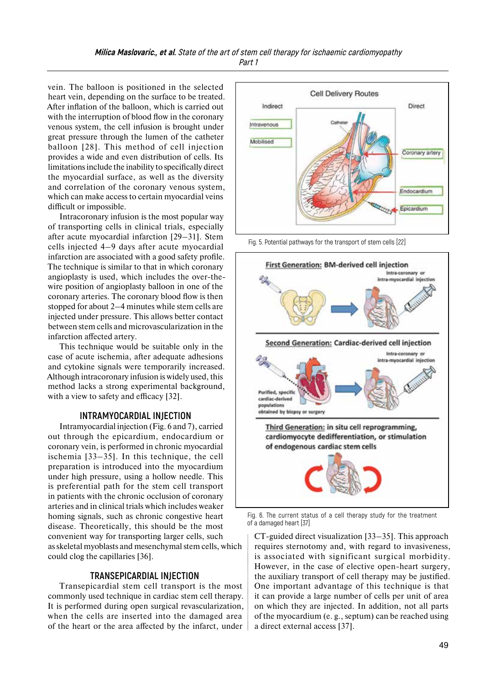vein. The balloon is positioned in the selected heart vein, depending on the surface to be treated. After inflation of the balloon, which is carried out with the interruption of blood flow in the coronary venous system, the cell infusion is brought under great pressure through the lumen of the catheter balloon [28]. This method of cell injection provides a wide and even distribution of cells. Its limitations include the inability to specifically direct the myocardial surface, as well as the diversity and correlation of the coronary venous system, which can make access to certain myocardial veins difficult or impossible.

Intracoronary infusion is the most popular way of transporting cells in clinical trials, especially after acute myocardial infarction [29–31]. Stem cells injected 4–9 days after acute myocardial infarction are associated with a good safety profile. The technique is similar to that in which coronary angioplasty is used, which includes the over-thewire position of angioplasty balloon in one of the coronary arteries. The coronary blood flow is then stopped for about 2–4 minutes while stem cells are injected under pressure. This allows better contact between stem cells and microvascularization in the infarction affected artery.

This technique would be suitable only in the case of acute ischemia, after adequate adhesions and cytokine signals were temporarily increased. Although intracoronary infusion iswidely used, this method lacks a strong experimental background, with a view to safety and efficacy [32].

## **INTRAMYOCARDIAL INJECTION**

Intramyocardial injection (Fig. 6 and 7), carried out through the epicardium, endocardium or coronary vein, is performed in chronic myocardial ischemia [33–35]. In this technique, the cell preparation is introduced into the myocardium under high pressure, using a hollow needle. This is preferential path for the stem cell transport in patients with the chronic occlusion of coronary arteries and in clinical trials which includes weaker homing signals, such as chronic congestive heart disease. Theoretically, this should be the most convenient way for transporting larger cells, such as skeletal myoblasts and mesenchymal stem cells, which could clog the capillaries [36].

#### **TRANSEPICARDIAL INJECTION**

Transepicardial stem cell transport is the most commonly used technique in cardiac stem cell therapy. It is performed during open surgical revascularization, when the cells are inserted into the damaged area of the heart or the area affected by the infarct, under



Fig. 5. Potential pathways for the transport of stem cells [22]



Fig. 6. The current status of a cell therapy study for the treatment of a damaged heart [37]

CT-guided direct visualization [33–35]. This approach requires sternotomy and, with regard to invasiveness, is associated with significant surgical morbidity. However, in the case of elective open-heart surgery, the auxiliary transport of cell therapy may be justified. One important advantage of this technique is that it can provide a large number of cells per unit of area on which they are injected. In addition, not all parts of the myocardium (e. g., septum) can be reached using a direct external access [37].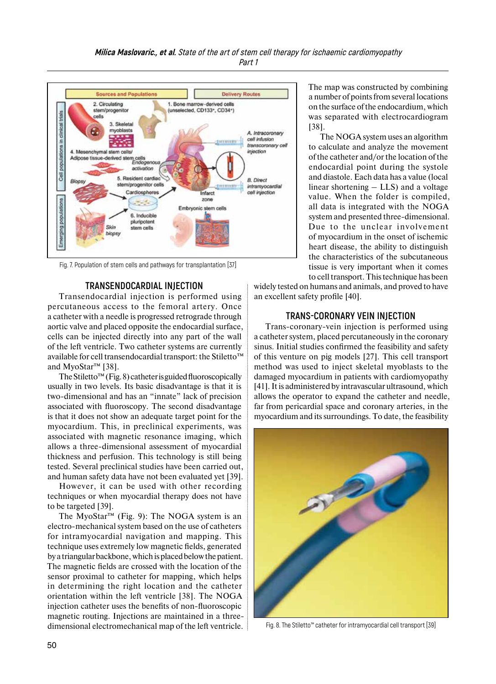

Fig. 7. Population of stem cells and pathways for transplantation [37]

#### **TRANSENDOCARDIAL INJECTION**

Transendocardial injection is performed using percutaneous access to the femoral artery. Once a catheter with a needle is progressed retrograde through aortic valve and placed opposite the endocardial surface, cells can be injected directly into any part of the wall of the left ventricle. Two catheter systems are currently available for cell transendocardial transport: the Stiletto™ and MyoStar™ [38].

The Stiletto™ (Fig. 8) catheter is guided fluoroscopically usually in two levels. Its basic disadvantage is that it is two-dimensional and has an "innate" lack of precision associated with fluoroscopy. The second disadvantage is that it does not show an adequate target point for the myocardium. This, in preclinical experiments, was associated with magnetic resonance imaging, which allows a three-dimensional assessment of myocardial thickness and perfusion. This technology is still being tested. Several preclinical studies have been carried out, and human safety data have not been evaluated yet [39].

However, it can be used with other recording techniques or when myocardial therapy does not have to be targeted [39].

The MyoStar<sup>™</sup> (Fig. 9): The NOGA system is an electro-mechanical system based on the use of catheters for intramyocardial navigation and mapping. This technique uses extremely low magnetic fields, generated by a triangular backbone, which is placed below the patient. The magnetic fields are crossed with the location of the sensor proximal to catheter for mapping, which helps in determining the right location and the catheter orientation within the left ventricle [38]. The NOGA injection catheter uses the benefits of non-fluoroscopic magnetic routing. Injections are maintained in a threedimensional electromechanical map of the left ventricle. The map was constructed by combining a number of points from several locations on the surface of the endocardium, which was separated with electrocardiogram [38].

The NOGA system uses an algorithm to calculate and analyze the movement of the catheter and/or the location of the endocardial point during the systole and diastole. Each data has a value (local linear shortening – LLS) and a voltage value. When the folder is compiled, all data is integrated with the NOGA system and presented three-dimensional. Due to the unclear involvement of myocardium in the onset of ischemic heart disease, the ability to distinguish the characteristics of the subcutaneous tissue is very important when it comes to cell transport. This technique has been

widely tested on humans and animals, and proved to have an excellent safety profile [40].

## **TRANS-CORONARY VEIN INJECTION**

Trans-coronary-vein injection is performed using a catheter system, placed percutaneously in the coronary sinus. Initial studies confirmed the feasibility and safety of this venture on pig models [27]. This cell transport method was used to inject skeletal myoblasts to the damaged myocardium in patients with cardiomyopathy [41]. It is administered by intravascular ultrasound, which allows the operator to expand the catheter and needle, far from pericardial space and coronary arteries, in the myocardium and its surroundings. To date, the feasibility



Fig. 8. The Stiletto™ catheter for intramyocardial cell transport [39]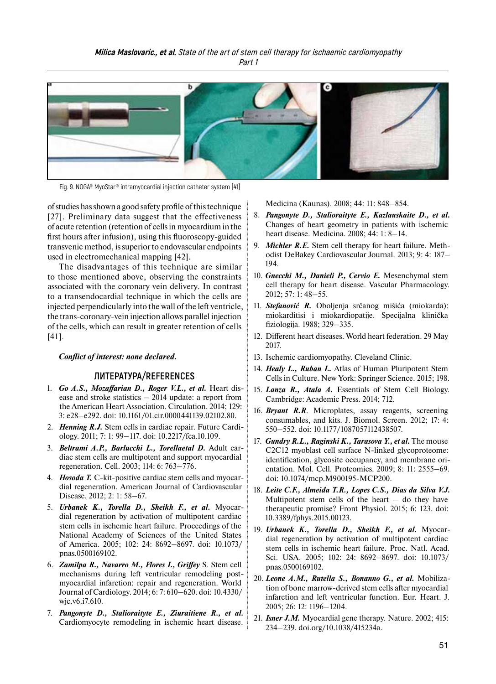

Fig. 9. NOGA® MyoStar® intramyocardial injection catheter system [41]

ofstudies has shown a good safety profile of this technique [27]. Preliminary data suggest that the effectiveness of acute retention (retention of cells in myocardium in the first hours after infusion), using this fluoroscopy-guided transvenic method, issuperior to endovascular endpoints used in electromechanical mapping [42].

The disadvantages of this technique are similar to those mentioned above, observing the constraints associated with the coronary vein delivery. In contrast to a transendocardial technique in which the cells are injected perpendicularly into the wall of the left ventricle, the trans-coronary-vein injection allows parallel injection of the cells, which can result in greater retention of cells [41].

#### *Conflict of interest: none declared.*

### **ЛИТЕРАТУРА/REFERENCES**

- 1. *Go A.S., Mozaffarian D., Roger V.L., et al.* Heart disease and stroke statistics – 2014 update: a report from the American Heart Association. Circulation. 2014; 129: 3: e28–e292. doi: 10.1161/01.cir.0000441139.02102.80.
- 2. *Henning R.J.* Stem cells in cardiac repair. Future Cardiology. 2011; 7: 1: 99–117. doi: 10.2217/fca.10.109.
- 3. *Beltrami A.P., Barlucchi L., Torellaetal D.* Adult cardiac stem cells are multipotent and support myocardial regeneration. Cell. 2003; 114: 6: 763–776.
- 4. *Hosoda T.* C-kit-positive cardiac stem cells and myocardial regeneration. American Journal of Cardiovascular Disease. 2012; 2: 1: 58–67.
- 5. *Urbanek K., Torella D., Sheikh F., et al.* Myocardial regeneration by activation of multipotent cardiac stem cells in ischemic heart failure. Proceedings of the National Academy of Sciences of the United States of America. 2005; 102: 24: 8692–8697. doi: 10.1073/ pnas.0500169102.
- 6. *Zamilpa R., Navarro M., Flores I., Griffey* S. Stem cell mechanisms during left ventricular remodeling postmyocardial infarction: repair and regeneration. World Journal of Cardiology. 2014; 6: 7: 610–620. doi: 10.4330/ wjc.v6.i7.610.
- 7. *Pangonyte D., Stalioraityte E., Ziuraitiene R., et al.*  Cardiomyocyte remodeling in ischemic heart disease.

Medicina (Kaunas). 2008; 44: 11: 848–854.

- 8. *Pangonyte D., Stalioraityte E., Kazlauskaite D., et al.*  Changes of heart geometry in patients with ischemic heart disease. Medicina. 2008; 44: 1: 8–14.
- 9. *Michler R.E.* Stem cell therapy for heart failure. Methodist DeBakey Cardiovascular Journal. 2013; 9: 4: 187– 194.
- 10. *Gnecchi M., Danieli P., Cervio E.* Mesenchymal stem cell therapy for heart disease. Vascular Pharmacology. 2012; 57: 1: 48–55.
- 11. *Stefanović R.* Oboljenja srčanog mišića (miokarda): miokarditisi i miokardiopatije. Specijalna klinička fiziologija. 1988; 329–335.
- 12. Different heart diseases. World heart federation. 29 May 2017.
- 13. Ischemic cardiomyopathy. Cleveland Clinic.
- 14. *Healy L., Ruban L.* Atlas of Human Pluripotent Stem Cells in Culture. New York: Springer Science. 2015; 198.
- 15. *Lanza R., Atala A.* Essentials of Stem Cell Biology. Cambridge: Academic Press. 2014; 712.
- 16. *Bryant R.R*. Microplates, assay reagents, screening consumables, and kits. J. Biomol. Screen. 2012; 17: 4: 550–552. doi: 10.1177/1087057112438507.
- 17. *Gundry R.L., Raginski K., Tarasova Y., et al.* The mouse C2C12 myoblast cell surface N-linked glycoproteome: identification, glycosite occupancy, and membrane orientation. Mol. Cell. Proteomics. 2009; 8: 11: 2555–69. doi: 10.1074/mcp.M900195-MCP200.
- 18. *Leite C.F., Almeida T.R., Lopes C.S., Dias da Silva V.J.*  Multipotent stem cells of the heart  $-$  do they have therapeutic promise? Front Physiol. 2015; 6: 123. doi: 10.3389/fphys.2015.00123.
- 19. *Urbanek K., Torella D., Sheikh F., et al.* Myocardial regeneration by activation of multipotent cardiac stem cells in ischemic heart failure. Proc. Natl. Acad. Sci. USA. 2005; 102: 24: 8692–8697. doi: 10.1073/ pnas.0500169102.
- 20. *Leone A.M., Rutella S., Bonanno G., et al.* Mobilization of bone marrow-derived stem cells after myocardial infarction and left ventricular function. Eur. Heart. J. 2005; 26: 12: 1196–1204.
- 21. *Isner J.M.* Myocardial gene therapy. Nature. 2002; 415: 234–239. doi.org/10.1038/415234a.